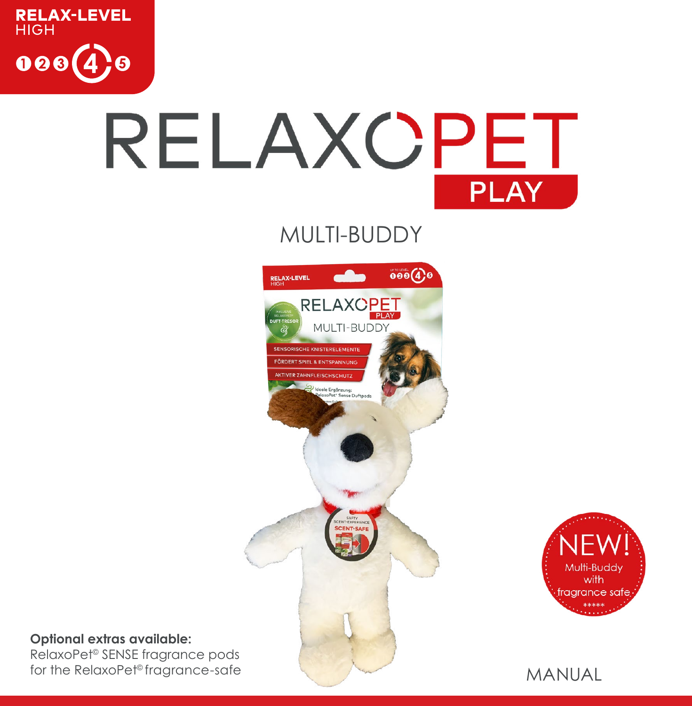

# RELAXOPET **PLAY**

MULTI-BUDDY





#### **Optional extras available:**

RelaxoPet© SENSE fragrance pods for the RelaxoPet<sup>®</sup> fragrance-safe

MANUAL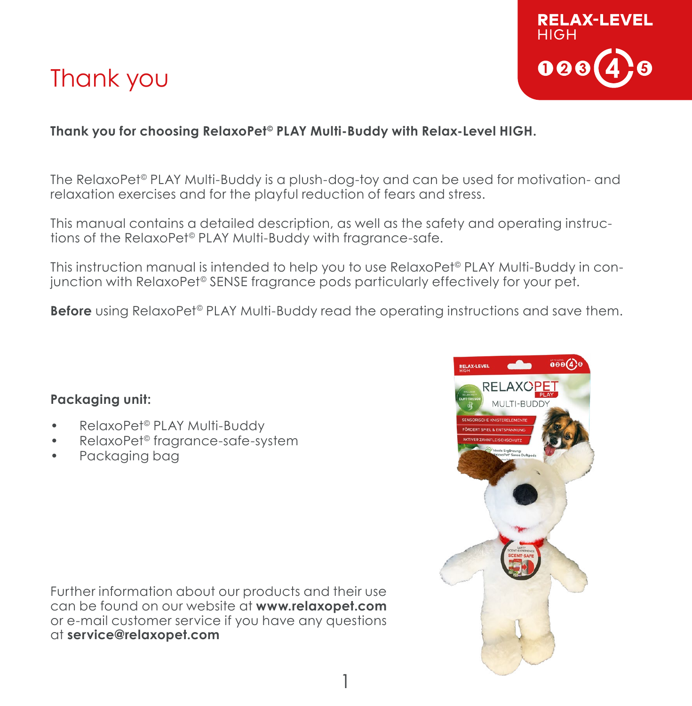### Thank you



#### **Thank you for choosing RelaxoPet© PLAY Multi-Buddy with Relax-Level HIGH.**

The RelaxoPet© PLAY Multi-Buddy is a plush-dog-toy and can be used for motivation- and relaxation exercises and for the playful reduction of fears and stress.

This manual contains a detailed description, as well as the safety and operating instructions of the RelaxoPet© PLAY Multi-Buddy with fragrance-safe.

This instruction manual is intended to help you to use RelaxoPet© PLAY Multi-Buddy in conjunction with RelaxoPet© SENSE fragrance pods particularly effectively for your pet.

**Before** using RelaxoPet<sup>®</sup> PLAY Multi-Buddy read the operating instructions and save them.

#### **Packaging unit:**

- RelaxoPet© PLAY Multi-Buddy
- RelaxoPet© fragrance-safe-system
- Packaging bag

Further information about our products and their use can be found on our website at **www.relaxopet.com** or e-mail customer service if you have any questions at **service@relaxopet.com**

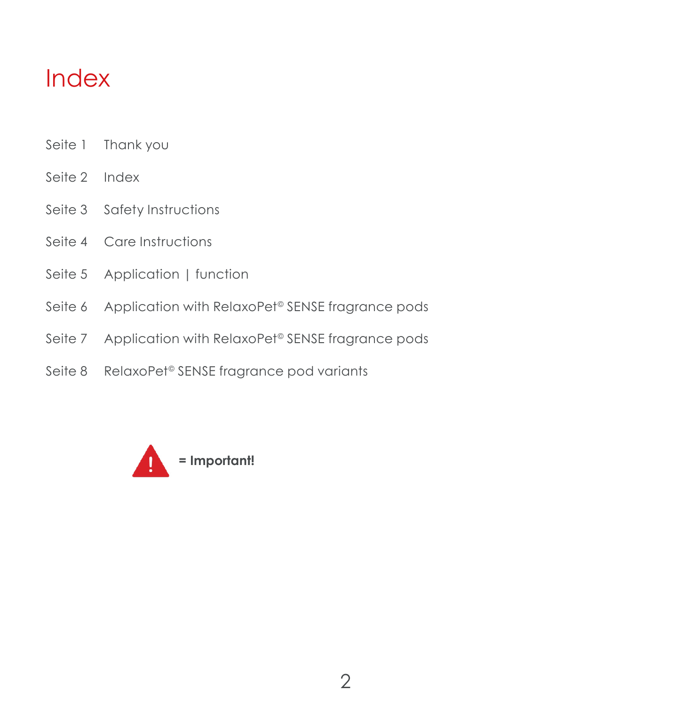### Index

- Seite 1 Thank you
- Seite 2 Index
- Seite 3 Safety Instructions
- Seite 4 Care Instructions
- Seite 5 Application | function
- Seite 6 Application with RelaxoPet<sup>®</sup> SENSE fragrance pods
- Seite 7 Application with RelaxoPet<sup>®</sup> SENSE fragrance pods
- Seite 8 RelaxoPet<sup>©</sup> SENSE fragrance pod variants

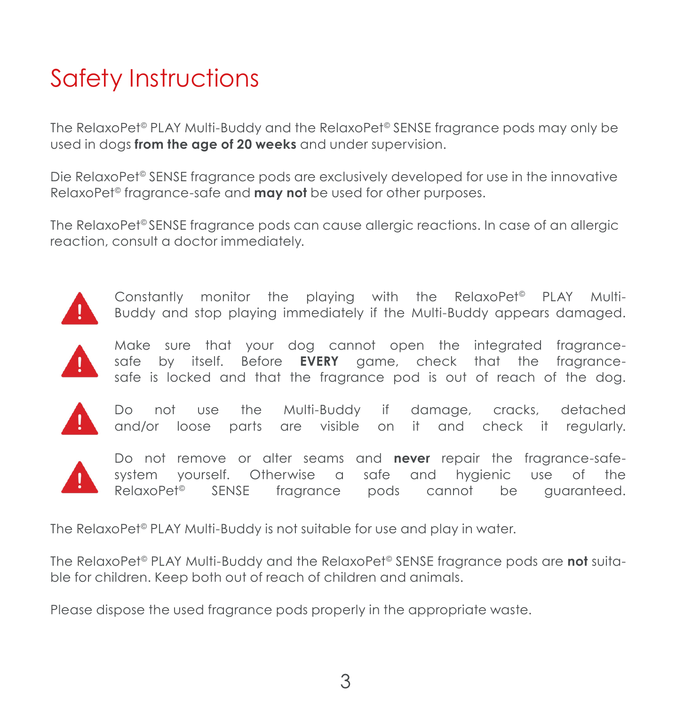## Safety Instructions

The RelaxoPet<sup>®</sup> PLAY Multi-Buddy and the RelaxoPet<sup>®</sup> SENSE fragrance pods may only be used in dogs **from the age of 20 weeks** and under supervision.

Die RelaxoPet<sup>®</sup> SENSE fragrance pods are exclusively developed for use in the innovative RelaxoPet© fragrance-safe and **may not** be used for other purposes.

The RelaxoPet<sup>®</sup> SENSE fragrance pods can cause allergic reactions. In case of an allergic reaction, consult a doctor immediately.



Constantly monitor the playing with the RelaxoPet© PLAY Multi-Buddy and stop playing immediately if the Multi-Buddy appears damaged.



Make sure that your dog cannot open the integrated fragrancesafe by itself. Before **EVERY** game, check that the fragrancesafe is locked and that the fragrance pod is out of reach of the dog.



Do not use the Multi-Buddy if damage, cracks, detached and/or loose parts are visible on it and check it regularly.



Do not remove or alter seams and **never** repair the fragrance-safesystem yourself. Otherwise a safe and hygienic use of the RelaxoPet<sup>®</sup> SENSE fragrance pods cannot be guaranteed.

The RelaxoPet<sup>®</sup> PLAY Multi-Buddy is not suitable for use and play in water.

The RelaxoPet© PLAY Multi-Buddy and the RelaxoPet© SENSE fragrance pods are **not** suitable for children. Keep both out of reach of children and animals.

Please dispose the used fragrance pods properly in the appropriate waste.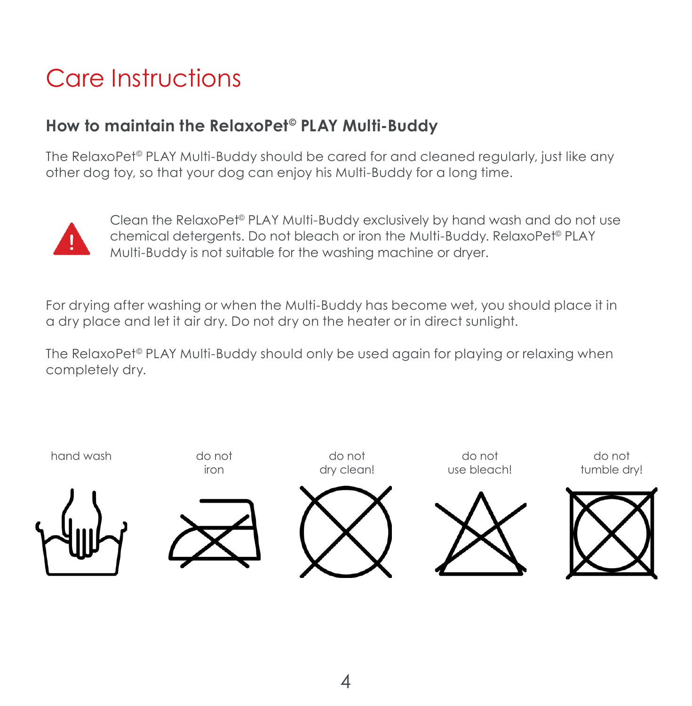## Care Instructions

### **How to maintain the RelaxoPet© PLAY Multi-Buddy**

The RelaxoPet© PLAY Multi-Buddy should be cared for and cleaned regularly, just like any other dog toy, so that your dog can enjoy his Multi-Buddy for a long time.



Clean the RelaxoPet© PLAY Multi-Buddy exclusively by hand wash and do not use chemical detergents. Do not bleach or iron the Multi-Buddy. RelaxoPet<sup>®</sup> PLAY Multi-Buddy is not suitable for the washing machine or dryer.

For drying after washing or when the Multi-Buddy has become wet, you should place it in a dry place and let it air dry. Do not dry on the heater or in direct sunlight.

The RelaxoPet<sup>®</sup> PLAY Multi-Buddy should only be used again for playing or relaxing when completely dry.

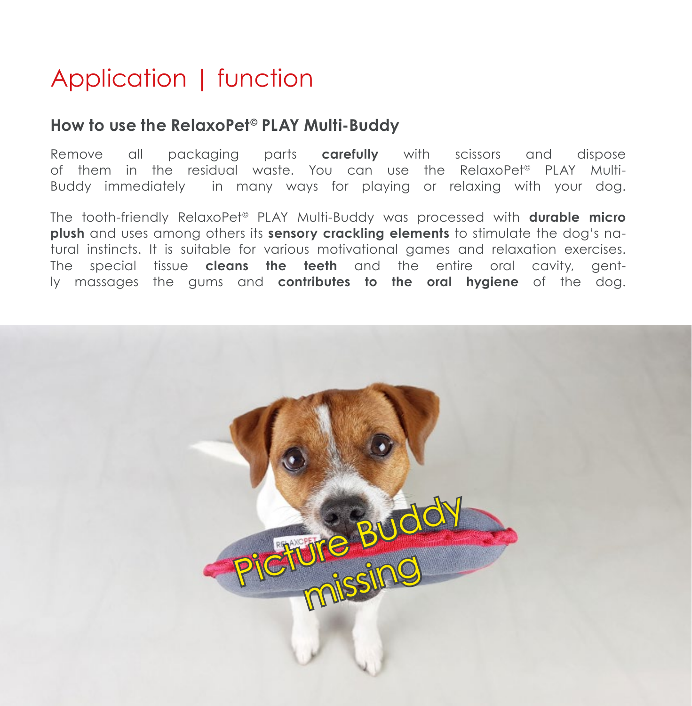### Application | function

#### **How to use the RelaxoPet© PLAY Multi-Buddy**

Remove all packaging parts **carefully** with scissors and dispose of them in the residual waste. You can use the RelaxoPet© PLAY Multi-Buddy immediately in many ways for playing or relaxing with your dog.

The tooth-friendly RelaxoPet© PLAY Multi-Buddy was processed with **durable micro plush** and uses among others its **sensory crackling elements** to stimulate the dog's natural instincts. It is suitable for various motivational games and relaxation exercises. The special tissue **cleans the teeth** and the entire oral cavity, gently massages the gums and **contributes to the oral hygiene** of the dog.

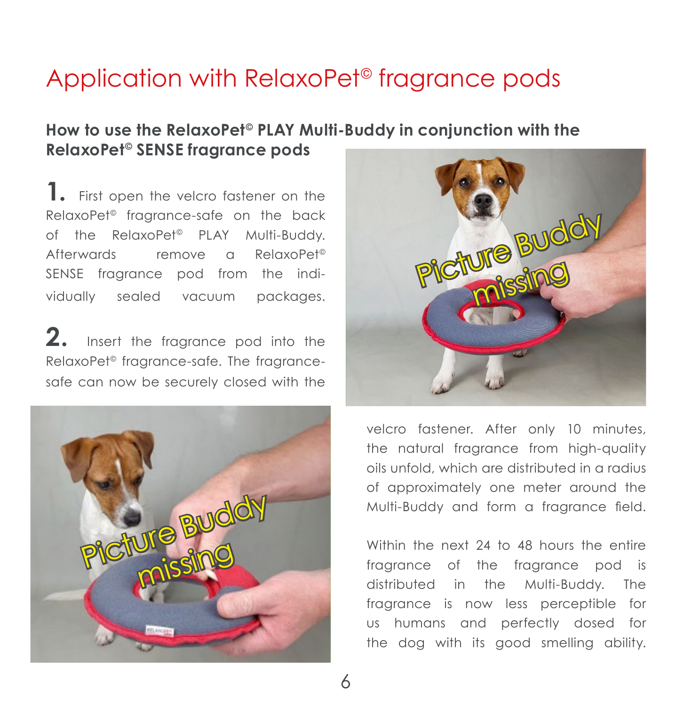### Application with RelaxoPet<sup>®</sup> fragrance pods

#### **How to use the RelaxoPet© PLAY Multi-Buddy in conjunction with the RelaxoPet© SENSE fragrance pods**

**1.** First open the velcro fastener on the RelaxoPet© fragrance-safe on the back of the RelaxoPet<sup>®</sup> PLAY Multi-Buddy. Afterwards remove a RelaxoPet© SENSE fragrance pod from the individually sealed vacuum packages.

**2.** Insert the fragrance pod into the RelaxoPet© fragrance-safe. The fragrancesafe can now be securely closed with the





velcro fastener. After only 10 minutes, the natural fragrance from high-quality oils unfold, which are distributed in a radius of approximately one meter around the Multi-Buddy and form a fragrance field.

Within the next 24 to 48 hours the entire fragrance of the fragrance pod is distributed in the Multi-Buddy. The fragrance is now less perceptible for us humans and perfectly dosed for the dog with its good smelling ability.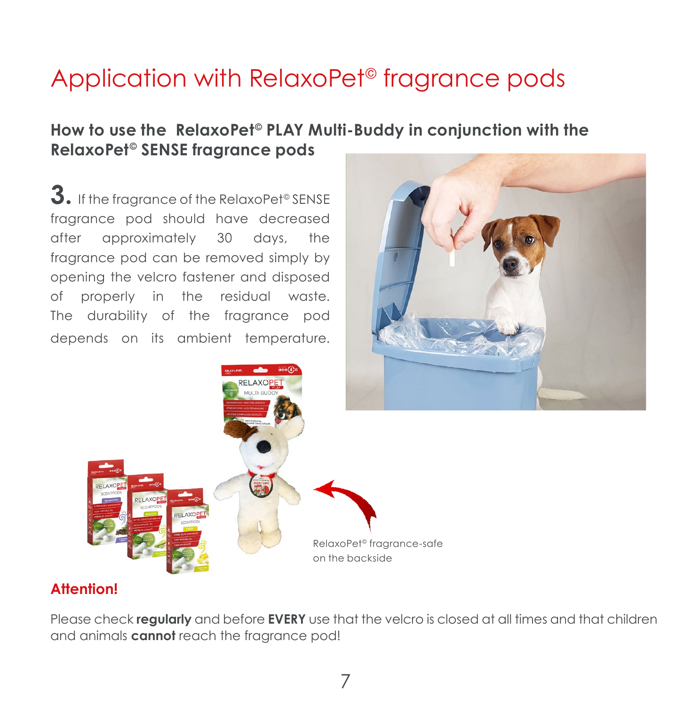### Application with RelaxoPet<sup>®</sup> fragrance pods

#### **How to use the RelaxoPet© PLAY Multi-Buddy in conjunction with the RelaxoPet© SENSE fragrance pods**

**3.** If the fragrance of the RelaxoPet© SENSE fragrance pod should have decreased after approximately 30 days, the fragrance pod can be removed simply by opening the velcro fastener and disposed of properly in the residual waste. The durability of the fragrance pod depends on its ambient temperature.





#### **Attention!**

Please check **regularly** and before **EVERY** use that the velcro is closed at all times and that children and animals **cannot** reach the fragrance pod!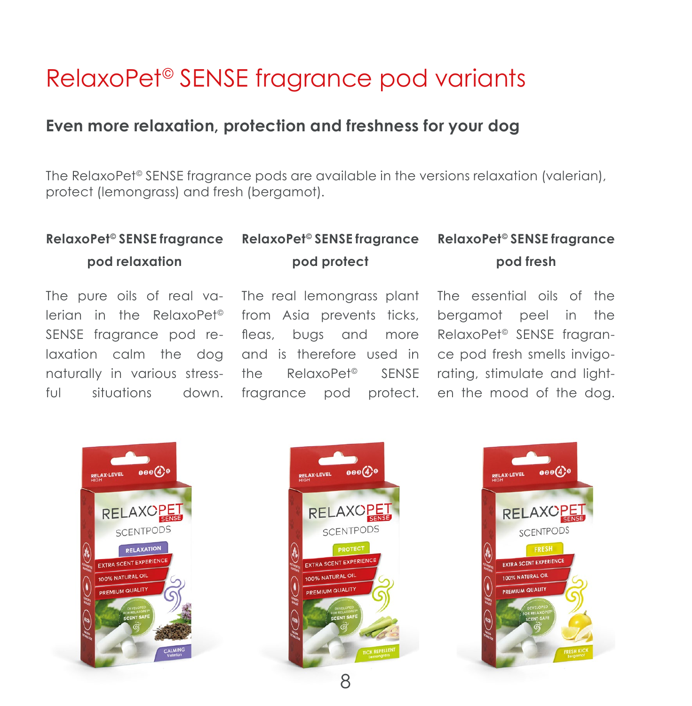### RelaxoPet© SENSE fragrance pod variants

#### **Even more relaxation, protection and freshness for your dog**

The RelaxoPet© SENSE fragrance pods are available in the versions relaxation (valerian), protect (lemongrass) and fresh (bergamot).

#### **RelaxoPet© SENSE fragrance pod relaxation RelaxoPet© SENSE fragrance RelaxoPet© SENSE fragrance pod protect pod fresh**

The pure oils of real valerian in the RelaxoPet© SENSE fragrance pod relaxation calm the dog naturally in various stressful situations down.

The real lemongrass plant The essential oils of the from Asia prevents ticks, fleas, bugs and more and is therefore used in the RelaxoPet© SENSE fragrance pod protect. en the mood of the dog.

bergamot peel in the RelaxoPet© SENSE fragrance pod fresh smells invigorating, stimulate and light-